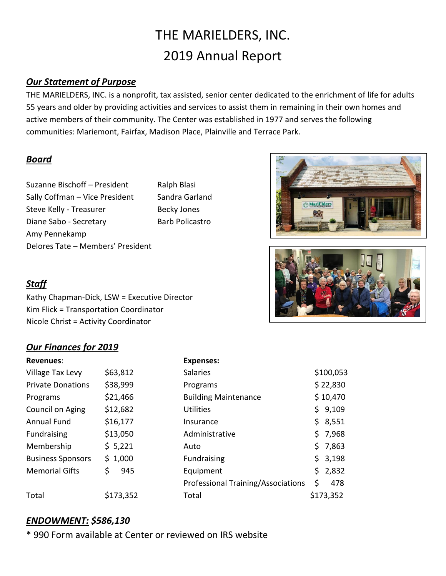# THE MARIELDERS, INC. 2019 Annual Report

## *Our Statement of Purpose*

THE MARIELDERS, INC. is a nonprofit, tax assisted, senior center dedicated to the enrichment of life for adults 55 years and older by providing activities and services to assist them in remaining in their own homes and active members of their community. The Center was established in 1977 and serves the following communities: Mariemont, Fairfax, Madison Place, Plainville and Terrace Park.

#### *Board*

Suzanne Bischoff – President Ralph Blasi Sally Coffman – Vice President Sandra Garland Steve Kelly - Treasurer Becky Jones Diane Sabo - Secretary Barb Policastro Amy Pennekamp Delores Tate – Members' President





# *Staff*

Kathy Chapman-Dick, LSW = Executive Director Kim Flick = Transportation Coordinator Nicole Christ = Activity Coordinator

# *Our Finances for 2019*

| <b>Revenues:</b>         |           | <b>Expenses:</b>                   |     |           |
|--------------------------|-----------|------------------------------------|-----|-----------|
| Village Tax Levy         | \$63,812  | <b>Salaries</b>                    |     | \$100,053 |
| <b>Private Donations</b> | \$38,999  | Programs                           |     | \$22,830  |
| Programs                 | \$21,466  | <b>Building Maintenance</b>        |     | \$10,470  |
| Council on Aging         | \$12,682  | <b>Utilities</b>                   |     | \$9,109   |
| <b>Annual Fund</b>       | \$16,177  | Insurance                          |     | \$3,551   |
| Fundraising              | \$13,050  | Administrative                     | \$. | 7,968     |
| Membership               | \$5,221   | Auto                               | \$. | 7,863     |
| <b>Business Sponsors</b> | \$1,000   | <b>Fundraising</b>                 | \$. | 3,198     |
| <b>Memorial Gifts</b>    | \$<br>945 | Equipment                          |     | \$2,832   |
|                          |           | Professional Training/Associations |     | 478       |
| Total                    | \$173,352 | Total                              |     | \$173,352 |

## *ENDOWMENT: \$586,130*

\* 990 Form available at Center or reviewed on IRS website